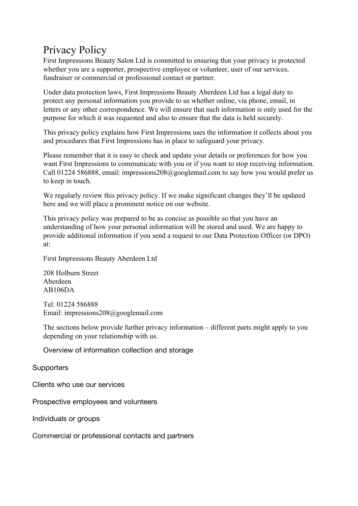# Privacy Policy

First Impressions Beauty Salon Ltd is committed to ensuring that your privacy is protected whether you are a supporter, prospective employee or volunteer, user of our services, fundraiser or commercial or professional contact or partner.

Under data protection laws, First Impressions Beauty Aberdeen Ltd has a legal duty to protect any personal information you provide to us whether online, via phone, email, in letters or any other correspondence. We will ensure that such information is only used for the purpose for which it was requested and also to ensure that the data is held securely.

This privacy policy explains how First Impressions uses the information it collects about you and procedures that First Impressions has in place to safeguard your privacy.

Please remember that it is easy to check and update your details or preferences for how you want First Impressions to communicate with you or if you want to stop receiving information. Call 01224 586888, email: impressions208@googlemail.com to say how you would prefer us to keep in touch.

We regularly review this privacy policy. If we make significant changes they'll be updated here and we will place a prominent notice on our website.

This privacy policy was prepared to be as concise as possible so that you have an understanding of how your personal information will be stored and used. We are happy to provide additional information if you send a request to our Data Protection Officer (or DPO) at:

First Impressions Beauty Aberdeen Ltd

208 Holburn Street Aberdeen AB106DA

Tel: 01224 586888 Email: impressions208@googlemail.com

The sections below provide further privacy information – different parts might apply to you depending on your relationship with us.

Overview of information collection and storage

**Supporters** 

Clients who use our services

Prospective employees and volunteers

Individuals or groups

Commercial or professional contacts and partners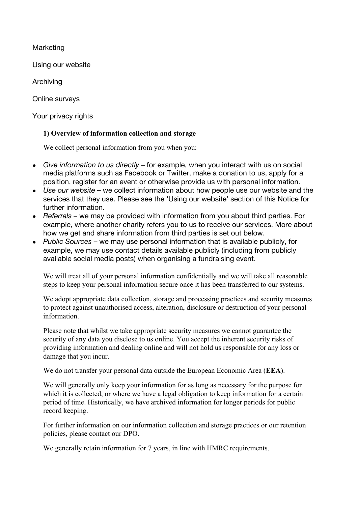Marketing

Using our website

Archiving

Online surveys

Your privacy rights

## **1) Overview of information collection and storage**

We collect personal information from you when you:

- *Give information to us directly* for example, when you interact with us on social media platforms such as Facebook or Twitter, make a donation to us, apply for a position, register for an event or otherwise provide us with personal information.
- Use our website we collect information about how people use our website and the services that they use. Please see the 'Using our website' section of this Notice for further information.
- *Referrals* we may be provided with information from you about third parties. For example, where another charity refers you to us to receive our services. More about how we get and share information from third parties is set out below.
- *Public Sources* we may use personal information that is available publicly, for example, we may use contact details available publicly (including from publicly available social media posts) when organising a fundraising event.

We will treat all of your personal information confidentially and we will take all reasonable steps to keep your personal information secure once it has been transferred to our systems.

We adopt appropriate data collection, storage and processing practices and security measures to protect against unauthorised access, alteration, disclosure or destruction of your personal information.

Please note that whilst we take appropriate security measures we cannot guarantee the security of any data you disclose to us online. You accept the inherent security risks of providing information and dealing online and will not hold us responsible for any loss or damage that you incur.

We do not transfer your personal data outside the European Economic Area (**EEA**).

We will generally only keep your information for as long as necessary for the purpose for which it is collected, or where we have a legal obligation to keep information for a certain period of time. Historically, we have archived information for longer periods for public record keeping.

For further information on our information collection and storage practices or our retention policies, please contact our DPO.

We generally retain information for 7 years, in line with HMRC requirements.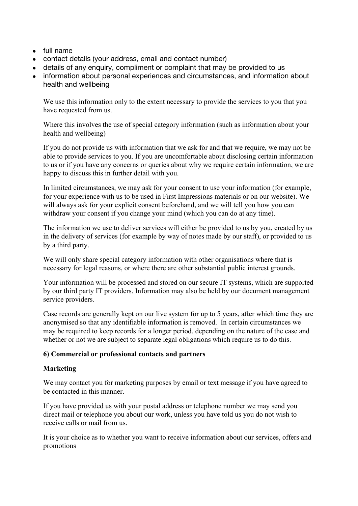- full name
- contact details (your address, email and contact number)
- details of any enquiry, compliment or complaint that may be provided to us
- information about personal experiences and circumstances, and information about health and wellbeing

We use this information only to the extent necessary to provide the services to you that you have requested from us.

Where this involves the use of special category information (such as information about your health and wellbeing)

If you do not provide us with information that we ask for and that we require, we may not be able to provide services to you. If you are uncomfortable about disclosing certain information to us or if you have any concerns or queries about why we require certain information, we are happy to discuss this in further detail with you.

In limited circumstances, we may ask for your consent to use your information (for example, for your experience with us to be used in First Impressions materials or on our website). We will always ask for your explicit consent beforehand, and we will tell you how you can withdraw your consent if you change your mind (which you can do at any time).

The information we use to deliver services will either be provided to us by you, created by us in the delivery of services (for example by way of notes made by our staff), or provided to us by a third party.

We will only share special category information with other organisations where that is necessary for legal reasons, or where there are other substantial public interest grounds.

Your information will be processed and stored on our secure IT systems, which are supported by our third party IT providers. Information may also be held by our document management service providers.

Case records are generally kept on our live system for up to 5 years, after which time they are anonymised so that any identifiable information is removed. In certain circumstances we may be required to keep records for a longer period, depending on the nature of the case and whether or not we are subject to separate legal obligations which require us to do this.

## **6) Commercial or professional contacts and partners**

## **Marketing**

We may contact you for marketing purposes by email or text message if you have agreed to be contacted in this manner.

If you have provided us with your postal address or telephone number we may send you direct mail or telephone you about our work, unless you have told us you do not wish to receive calls or mail from us.

It is your choice as to whether you want to receive information about our services, offers and promotions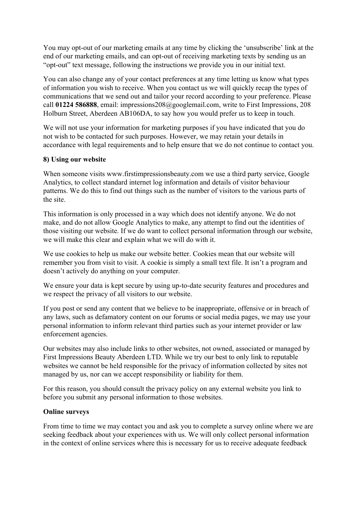You may opt-out of our marketing emails at any time by clicking the 'unsubscribe' link at the end of our marketing emails, and can opt-out of receiving marketing texts by sending us an "opt-out" text message, following the instructions we provide you in our initial text.

You can also change any of your contact preferences at any time letting us know what types of information you wish to receive. When you contact us we will quickly recap the types of communications that we send out and tailor your record according to your preference. Please call **01224 586888**, email: impressions208@googlemail.com, write to First Impressions, 208 Holburn Street, Aberdeen AB106DA, to say how you would prefer us to keep in touch.

We will not use your information for marketing purposes if you have indicated that you do not wish to be contacted for such purposes. However, we may retain your details in accordance with legal requirements and to help ensure that we do not continue to contact you.

#### **8) Using our website**

When someone visits www.firstimpressionsbeauty.com we use a third party service, Google Analytics, to collect standard internet log information and details of visitor behaviour patterns. We do this to find out things such as the number of visitors to the various parts of the site.

This information is only processed in a way which does not identify anyone. We do not make, and do not allow Google Analytics to make, any attempt to find out the identities of those visiting our website. If we do want to collect personal information through our website, we will make this clear and explain what we will do with it.

We use cookies to help us make our website better. Cookies mean that our website will remember you from visit to visit. A cookie is simply a small text file. It isn't a program and doesn't actively do anything on your computer.

We ensure your data is kept secure by using up-to-date security features and procedures and we respect the privacy of all visitors to our website.

If you post or send any content that we believe to be inappropriate, offensive or in breach of any laws, such as defamatory content on our forums or social media pages, we may use your personal information to inform relevant third parties such as your internet provider or law enforcement agencies.

Our websites may also include links to other websites, not owned, associated or managed by First Impressions Beauty Aberdeen LTD. While we try our best to only link to reputable websites we cannot be held responsible for the privacy of information collected by sites not managed by us, nor can we accept responsibility or liability for them.

For this reason, you should consult the privacy policy on any external website you link to before you submit any personal information to those websites.

#### **Online surveys**

From time to time we may contact you and ask you to complete a survey online where we are seeking feedback about your experiences with us. We will only collect personal information in the context of online services where this is necessary for us to receive adequate feedback